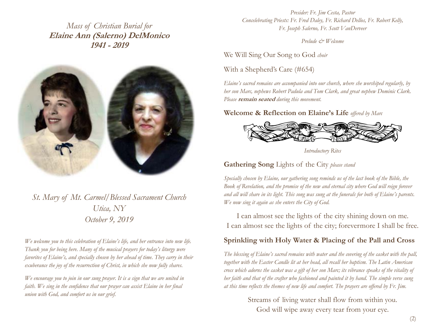*Mass of Christian Burial for*  **Elaine Ann (Salerno) DelMonico 1941 - 2019** 



*St. Mary of Mt. Carmel/Blessed Sacrament Church Utica, NY October 9, 2019* 

*We welcome you to this celebration of Elaine's life, and her entrance into new life. Thank you for being here. Many of the musical prayers for today's liturgy were favorites of Elaine's, and specially chosen by her ahead of time. They carry in their exuberance the joy of the resurrection of Christ, in which she now fully shares.* 

*We encourage you to join in our sung prayer. It is a sign that we are united in faith.* We sing in the confidence that our prayer can assist Elaine in her final *union with God, and comfort us in our grief.* 

*Presider: Fr. Jim Cesta, Pastor Concelebrating Priests: Fr. Fred Daley, Fr. Richard Dellos, Fr. Robert Kelly, Fr. Joseph Salerno, Fr. Scott VanDerveer* 

*Prelude & Welcome*

We Will Sing Our Song to God *choir* 

With a Shepherd's Care (#654)

*Elaine's sacred remains are accompanied into our church, where she worshiped regularly, by her son Marc, nephews Robert Padula and Tom Clark, and great nephew Dominic Clark. Please* **remain seated** *during this movement.* 

**Welcome & Reflection on Elaine's Life** *offered by Marc* 



*Introductory Rites* 

**Gathering Song** Lights of the City *please stand*

*Specially chosen by Elaine, our gathering song reminds us of the last book of the Bible, the Book of Revelation, and the promise of the new and eternal city where God will reign forever and all will share in its light. This song was sung at the funerals for both of Elaine's parents. We now sing it again as she enters the City of God.*

I can almost see the lights of the city shining down on me. I can almost see the lights of the city; forevermore I shall be free.

#### **Sprinkling with Holy Water & Placing of the Pall and Cross**

*The blessing of Elaine's sacred remains with water and the covering of the casket with the pall, together with the Easter Candle lit at her head, all recall her baptism. The Latin American cross which adorns the casket was a gift of her son Marc; its vibrance speaks of the vitality of her faith and that of the crafter who fashioned and painted it by hand. The simple verse sung at this time reflects the themes of new life and comfort. The prayers are offered by Fr. Jim.* 

> Streams of living water shall flow from within you. God will wipe away every tear from your eye.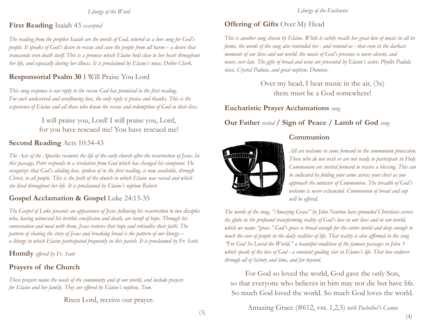*Liturgy of the Word* 

#### **First Reading** Isaiah 43 *excerpted*

*The reading from the prophet Isaiah are the words of God, uttered as a love song for God's people. It speaks of God's desire to rescue and save the people from all harm – a desire that transcends even death itself. This is a promise which Elaine held close to her heart throughout her life, and especially during her illness. It is proclaimed by Elaine's niece, Debbe Clark.*

# **Responsorial Psalm 30** I Will Praise You Lord

*This sung response is our reply to the rescue God has promised in the first reading. For such undeserved and overflowing love, the only reply is praise and thanks. This is the experience of Elaine and all those who know the rescue and redemption of God in their lives.* 

> I will praise you, Lord! I will praise you, Lord, for you have rescued me! You have rescued me!

## **Second Reading** Acts 10:34-43

*The Acts of the Apostles recounts the life of the early church after the resurrection of Jesus. In this passage, Peter responds to a revelation from God which has changed his viewpoint. He recognizes that God's abiding love, spoken of in the first reading, is now available, through Christ, to all people. This is the faith of the church in which Elaine was raised and which she lived throughout her life. It is proclaimed by Elaine's nephew Robert.* 

## Gospel Acclamation & Gospel Luke 24:13-35

*The Gospel of Luke presents an appearance of Jesus following his resurrection to two disciples who, having witnessed his terrible crucifixion and death, are bereft of hope. Through his conversation and meal with them, Jesus restores that hope and rekindles their faith. The pattern of sharing the story of Jesus and breaking bread is the pattern of our liturgy – a liturgy in which Elaine participated frequently in this parish. It is proclaimed by Fr. Scott.* 

**Homily** *offered by Fr. Scott*

## **Prayers of the Church**

*These prayers name the needs of the community and of our world, and include prayers for Elaine and her family. They are offered by Elaine's nephew, Tom.* 

Risen Lord, receive our prayer.

#### **Offering of Gifts** Over My Head

*This is another song chosen by Elaine. While it subtly recalls her great love of music in all its forms, the words of the song also reminded her - and remind us - that even in the darkest moments of our lives and our world, the music of God's presence is never absent, and never, ever late. The gifts of bread and wine are presented by Elaine's sister, Phyllis Padula niece, Crystal Padula, and great nephew, Dominic.* 

> Over my head, I hear music in the air,  $(3x)$ there must be a God somewhere!

**Eucharistic Prayer Acclamations** *sung*

## **Our Father** *recited* **/ Sign of Peace / Lamb of God** *sung*

**Communion** 



*All are welcome to come forward in the communion procession. Those who do not wish or are not ready to participate in Holy Communion are invited forward to receive a blessing. This can be indicated by folding your arms across your chest as you approach the minister of Communion. The breadth of God's welcome is never exhausted. Communion of bread and cup will be offered.* 

*The words of the song, "Amazing Grace" by John Newton have grounded Christians across the globe in the profound transforming reality of God's love in our lives and in our world, which we name "grace." God's grace is broad enough for the entire world and deep enough to touch the core of people in the daily realities of life. That reality is also affirmed in the song "For God So Loved the World," a beautiful rendition of the famous passages in John 3 which speak of the love of God - a constant guiding star in Elaine's life. That love endures through all of history and time, and far beyond.* 

For God so loved the world, God gave the only Son, so that everyone who believes in him may not die but have life. So much God loved the world. So much God loves the world.

Amazing Grace (#612, vss. 1,2,5) *with Pachelbel's Canon*